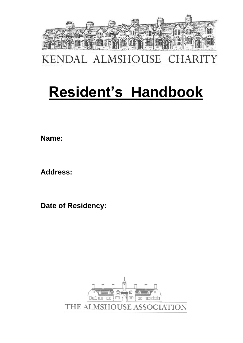

ALMSHOUSE **KENDAL CHARIT** 

# **Resident's Handbook**

**Name:** 

**Address:**

**Date of Residency:** 

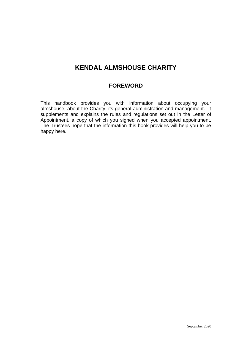# **KENDAL ALMSHOUSE CHARITY**

# **FOREWORD**

This handbook provides you with information about occupying your almshouse, about the Charity, its general administration and management. It supplements and explains the rules and regulations set out in the Letter of Appointment, a copy of which you signed when you accepted appointment. The Trustees hope that the information this book provides will help you to be happy here.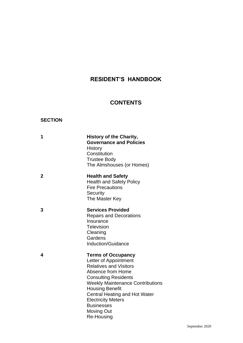# **RESIDENT'S HANDBOOK**

# **CONTENTS**

# **SECTION**

| 1              | <b>History of the Charity,</b><br><b>Governance and Policies</b><br>History<br>Constitution<br><b>Trustee Body</b><br>The Almshouses (or Homes)                                                                                                                                                                                           |
|----------------|-------------------------------------------------------------------------------------------------------------------------------------------------------------------------------------------------------------------------------------------------------------------------------------------------------------------------------------------|
| $\overline{2}$ | <b>Health and Safety</b><br><b>Health and Safety Policy</b><br><b>Fire Precautions</b><br>Security<br>The Master Key                                                                                                                                                                                                                      |
| 3              | <b>Services Provided</b><br><b>Repairs and Decorations</b><br>Insurance<br><b>Television</b><br>Cleaning<br>Gardens<br><b>Induction/Guidance</b>                                                                                                                                                                                          |
| 4              | <b>Terms of Occupancy</b><br>Letter of Appointment<br><b>Relatives and Visitors</b><br>Absence from Home<br><b>Consulting Residents</b><br><b>Weekly Maintenance Contributions</b><br><b>Housing Benefit</b><br><b>Central Heating and Hot Water</b><br><b>Electricity Meters</b><br><b>Businesses</b><br><b>Moving Out</b><br>Re-Housing |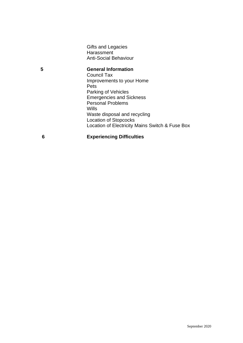Gifts and Legacies **Harassment** Anti-Social Behaviour

**5 General Information** Council Tax Improvements to your Home Pets Parking of Vehicles Emergencies and Sickness Personal Problems Wills Waste disposal and recycling Location of Stopcocks Location of Electricity Mains Switch & Fuse Box

**6 Experiencing Difficulties**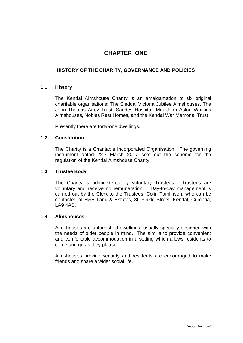# **CHAPTER ONE**

# **HISTORY OF THE CHARITY, GOVERNANCE AND POLICIES**

## **1.1 History**

The Kendal Almshouse Charity is an amalgamation of six original charitable organisations; The Sleddal Victoria Jubilee Almshouses, The John Thomas Airey Trust, Sandes Hospital, Mrs John Aston Watkins Almshouses, Nobles Rest Homes, and the Kendal War Memorial Trust

Presently there are forty-one dwellings.

#### **1.2 Constitution**

The Charity is a Charitable Incorporated Organisation. The governing instrument dated 22nd March 2017 sets out the scheme for the regulation of the Kendal Almshouse Charity.

#### **1.3 Trustee Body**

The Charity is administered by voluntary Trustees. Trustees are voluntary and receive no remuneration. Day-to-day management is carried out by the Clerk to the Trustees, Colin Tomlinson, who can be contacted at H&H Land & Estates, 36 Finkle Street, Kendal, Cumbria, LA9 4AB.

#### **1.4 Almshouses**

Almshouses are unfurnished dwellings, usually specially designed with the needs of older people in mind. The aim is to provide convenient and comfortable accommodation in a setting which allows residents to come and go as they please.

Almshouses provide security and residents are encouraged to make friends and share a wider social life.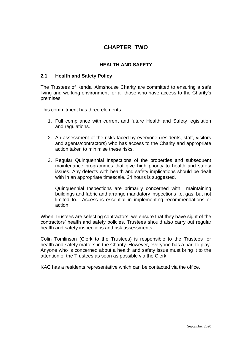# **CHAPTER TWO**

# **HEALTH AND SAFETY**

# **2.1 Health and Safety Policy**

The Trustees of Kendal Almshouse Charity are committed to ensuring a safe living and working environment for all those who have access to the Charity's premises.

This commitment has three elements:

- 1. Full compliance with current and future Health and Safety legislation and regulations.
- 2. An assessment of the risks faced by everyone (residents, staff, visitors and agents/contractors) who has access to the Charity and appropriate action taken to minimise these risks.
- 3. Regular Quinquennial Inspections of the properties and subsequent maintenance programmes that give high priority to health and safety issues. Any defects with health and safety implications should be dealt with in an appropriate timescale. 24 hours is suggested.

Quinquennial Inspections are primarily concerned with maintaining buildings and fabric and arrange mandatory inspections i.e. gas, but not limited to. Access is essential in implementing recommendations or action.

When Trustees are selecting contractors, we ensure that they have sight of the contractors' health and safety policies. Trustees should also carry out regular health and safety inspections and risk assessments.

Colin Tomlinson (Clerk to the Trustees) is responsible to the Trustees for health and safety matters in the Charity. However, everyone has a part to play. Anyone who is concerned about a health and safety issue must bring it to the attention of the Trustees as soon as possible via the Clerk.

KAC has a residents representative which can be contacted via the office.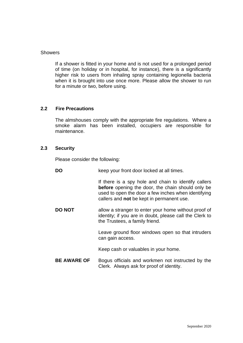#### **Showers**

If a shower is fitted in your home and is not used for a prolonged period of time (on holiday or in hospital, for instance), there is a significantly higher risk to users from inhaling spray containing legionella bacteria when it is brought into use once more. Please allow the shower to run for a minute or two, before using.

#### **2.2 Fire Precautions**

The almshouses comply with the appropriate fire regulations. Where a smoke alarm has been installed, occupiers are responsible for maintenance.

#### **2.3 Security**

Please consider the following:

**DO** keep your front door locked at all times.

If there is a spy hole and chain to identify callers **before** opening the door, the chain should only be used to open the door a few inches when identifying callers and **not** be kept in permanent use.

**DO NOT** allow a stranger to enter your home without proof of identity; if you are in doubt, please call the Clerk to the Trustees, a family friend.

> Leave ground floor windows open so that intruders can gain access.

Keep cash or valuables in your home.

**BE AWARE OF** Bogus officials and workmen not instructed by the Clerk. Always ask for proof of identity.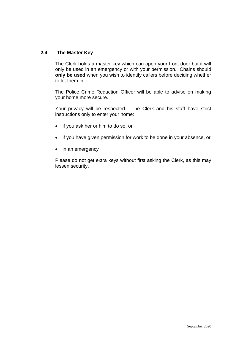# **2.4 The Master Key**

The Clerk holds a master key which can open your front door but it will only be used in an emergency or with your permission. Chains should **only be used** when you wish to identify callers before deciding whether to let them in.

The Police Crime Reduction Officer will be able to advise on making your home more secure.

Your privacy will be respected. The Clerk and his staff have strict instructions only to enter your home:

- if you ask her or him to do so, or
- if you have given permission for work to be done in your absence, or
- in an emergency

Please do not get extra keys without first asking the Clerk, as this may lessen security.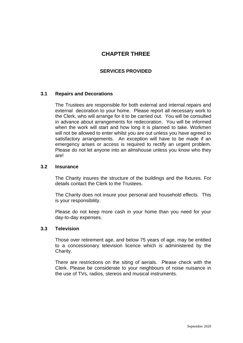# **CHAPTER THREE**

# **SERVICES PROVIDED**

## **3.1 Repairs and Decorations**

The Trustees are responsible for both external and internal repairs and external decoration to your home. Please report all necessary work to the Clerk, who will arrange for it to be carried out. You will be consulted in advance about arrangements for redecoration. You will be informed when the work will start and how long it is planned to take. Workmen will not be allowed to enter whilst you are out unless you have agreed to satisfactory arrangements. An exception will have to be made if an emergency arises or access is required to rectify an urgent problem. Please do not let anyone into an almshouse unless you know who they are!

#### **3.2 Insurance**

The Charity insures the structure of the buildings and the fixtures. For details contact the Clerk to the Trustees.

The Charity does not insure your personal and household effects. This is your responsibility.

Please do not keep more cash in your home than you need for your day-to-day expenses.

#### **3.3 Television**

Those over retirement age, and below 75 years of age, may be entitled to a concessionary television licence which is administered by the Charity.

There are restrictions on the siting of aerials. Please check with the Clerk. Please be considerate to your neighbours of noise nuisance in the use of TVs, radios, stereos and musical instruments.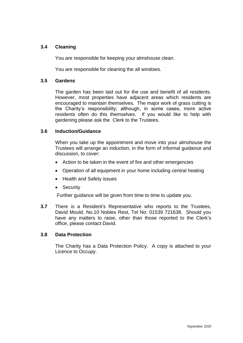## **3.4 Cleaning**

You are responsible for keeping your almshouse clean.

You are responsible for cleaning the all windows.

#### **3.5 Gardens**

The garden has been laid out for the use and benefit of all residents. However, most properties have adjacent areas which residents are encouraged to maintain themselves. The major work of grass cutting is the Charity's responsibility; although, in some cases, more active residents often do this themselves. If you would like to help with gardening please ask the Clerk to the Trustees.

## **3.6 Induction/Guidance**

When you take up the appointment and move into your almshouse the Trustees will arrange an induction, in the form of informal guidance and discussion, to cover:

- Action to be taken in the event of fire and other emergencies
- Operation of all equipment in your home including central heating
- Health and Safety issues
- Security

Further guidance will be given from time to time to update you.

**3.7** There is a Resident's Representative who reports to the Trustees, David Mould, No.10 Nobles Rest, Tel No: 01539 721638. Should you have any matters to raise, other than those reported to the Clerk's office, please contact David.

## **3.8 Data Protection**

The Charity has a Data Protection Policy. A copy is attached to your Licence to Occupy.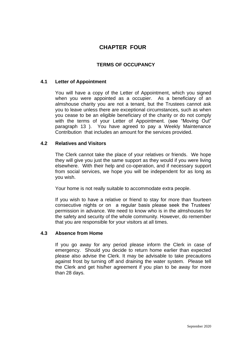# **CHAPTER FOUR**

# **TERMS OF OCCUPANCY**

## **4.1 Letter of Appointment**

You will have a copy of the Letter of Appointment, which you signed when you were appointed as a occupier. As a beneficiary of an almshouse charity you are not a tenant, but the Trustees cannot ask you to leave unless there are exceptional circumstances, such as when you cease to be an eligible beneficiary of the charity or do not comply with the terms of your Letter of Appointment. (see "Moving Out" paragraph 13 ). You have agreed to pay a Weekly Maintenance Contribution that includes an amount for the services provided.

## **4.2 Relatives and Visitors**

The Clerk cannot take the place of your relatives or friends. We hope they will give you just the same support as they would if you were living elsewhere. With their help and co-operation, and if necessary support from social services, we hope you will be independent for as long as you wish.

Your home is not really suitable to accommodate extra people.

If you wish to have a relative or friend to stay for more than fourteen consecutive nights or on a regular basis please seek the Trustees' permission in advance. We need to know who is in the almshouses for the safety and security of the whole community. However, do remember that you are responsible for your visitors at all times.

## **4.3 Absence from Home**

If you go away for any period please inform the Clerk in case of emergency. Should you decide to return home earlier than expected please also advise the Clerk. It may be advisable to take precautions against frost by turning off and draining the water system. Please tell the Clerk and get his/her agreement if you plan to be away for more than 28 days.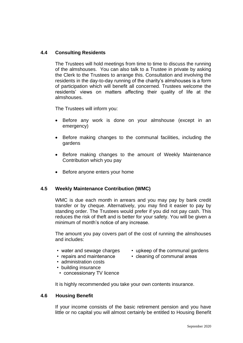# **4.4 Consulting Residents**

The Trustees will hold meetings from time to time to discuss the running of the almshouses. You can also talk to a Trustee in private by asking the Clerk to the Trustees to arrange this. Consultation and involving the residents in the day-to-day running of the charity's almshouses is a form of participation which will benefit all concerned. Trustees welcome the residents' views on matters affecting their quality of life at the almshouses.

The Trustees will inform you:

- Before any work is done on your almshouse (except in an emergency)
- Before making changes to the communal facilities, including the gardens
- Before making changes to the amount of Weekly Maintenance Contribution which you pay
- Before anyone enters your home

#### **4.5 Weekly Maintenance Contribution (WMC)**

WMC is due each month in arrears and you may pay by bank credit transfer or by cheque. Alternatively, you may find it easier to pay by standing order. The Trustees would prefer if you did not pay cash. This reduces the risk of theft and is better for your safety. You will be given a minimum of month's notice of any increase.

The amount you pay covers part of the cost of running the almshouses and includes:

- 
- 
- administration costs
- building insurance
- concessionary TV licence

It is highly recommended you take your own contents insurance.

#### **4.6 Housing Benefit**

If your income consists of the basic retirement pension and you have little or no capital you will almost certainly be entitled to Housing Benefit

- water and sewage charges upkeep of the communal gardens
- repairs and maintenance cleaning of communal areas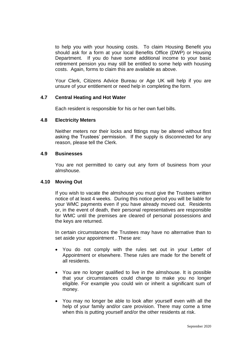to help you with your housing costs. To claim Housing Benefit you should ask for a form at your local Benefits Office (DWP) or Housing Department. If you do have some additional income to your basic retirement pension you may still be entitled to some help with housing costs. Again, forms to claim this are available as above.

Your Clerk, Citizens Advice Bureau or Age UK will help if you are unsure of your entitlement or need help in completing the form.

#### **4.7 Central Heating and Hot Water**

Each resident is responsible for his or her own fuel bills.

#### **4.8 Electricity Meters**

Neither meters nor their locks and fittings may be altered without first asking the Trustees' permission. If the supply is disconnected for any reason, please tell the Clerk.

#### **4.9 Businesses**

You are not permitted to carry out any form of business from your almshouse.

#### **4.10 Moving Out**

If you wish to vacate the almshouse you must give the Trustees written notice of at least 4 weeks. During this notice period you will be liable for your WMC payments even if you have already moved out. Residents or, in the event of death, their personal representatives are responsible for WMC until the premises are cleared of personal possessions and the keys are returned.

In certain circumstances the Trustees may have no alternative than to set aside your appointment . These are:

- You do not comply with the rules set out in your Letter of Appointment or elsewhere. These rules are made for the benefit of all residents.
- You are no longer qualified to live in the almshouse. It is possible that your circumstances could change to make you no longer eligible. For example you could win or inherit a significant sum of money.
- You may no longer be able to look after yourself even with all the help of your family and/or care provision. There may come a time when this is putting yourself and/or the other residents at risk.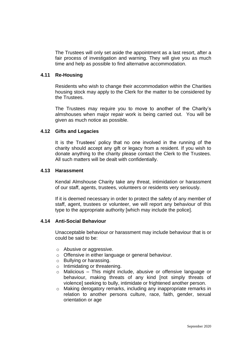The Trustees will only set aside the appointment as a last resort, after a fair process of investigation and warning. They will give you as much time and help as possible to find alternative accommodation.

#### **4.11 Re-Housing**

Residents who wish to change their accommodation within the Charities housing stock may apply to the Clerk for the matter to be considered by the Trustees.

The Trustees may require you to move to another of the Charity's almshouses when major repair work is being carried out. You will be given as much notice as possible.

#### **4.12 Gifts and Legacies**

It is the Trustees' policy that no one involved in the running of the charity should accept any gift or legacy from a resident. If you wish to donate anything to the charity please contact the Clerk to the Trustees. All such matters will be dealt with confidentially.

#### **4.13 Harassment**

Kendal Almshouse Charity take any threat, intimidation or harassment of our staff, agents, trustees, volunteers or residents very seriously.

If it is deemed necessary in order to protect the safety of any member of staff, agent, trustees or volunteer, we will report any behaviour of this type to the appropriate authority [which may include the police].

#### **4.14 Anti-Social Behaviour**

Unacceptable behaviour or harassment may include behaviour that is or could be said to be:

- o Abusive or aggressive.
- o Offensive in either language or general behaviour.
- o Bullying or harassing.
- o Intimidating or threatening.
- o Malicious This might include, abusive or offensive language or behaviour, making threats of any kind [not simply threats of violence] seeking to bully, intimidate or frightened another person.
- o Making derogatory remarks, including any inappropriate remarks in relation to another persons culture, race, faith, gender, sexual orientation or age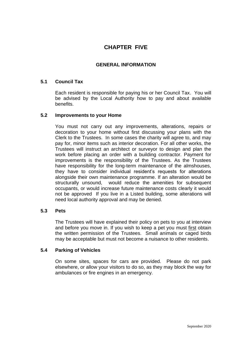# **CHAPTER FIVE**

# **GENERAL INFORMATION**

#### **5.1 Council Tax**

Each resident is responsible for paying his or her Council Tax. You will be advised by the Local Authority how to pay and about available benefits.

#### **5.2 Improvements to your Home**

You must not carry out any improvements, alterations, repairs or decoration to your home without first discussing your plans with the Clerk to the Trustees. In some cases the charity will agree to, and may pay for, minor items such as interior decoration. For all other works, the Trustees will instruct an architect or surveyor to design and plan the work before placing an order with a building contractor. Payment for improvements is the responsibility of the Trustees. As the Trustees have responsibility for the long-term maintenance of the almshouses, they have to consider individual resident's requests for alterations alongside their own maintenance programme. If an alteration would be structurally unsound, would reduce the amenities for subsequent occupants, or would increase future maintenance costs clearly it would not be approved If you live in a Listed building, some alterations will need local authority approval and may be denied.

#### **5.3 Pets**

The Trustees will have explained their policy on pets to you at interview and before you move in. If you wish to keep a pet you must first obtain the written permission of the Trustees. Small animals or caged birds may be acceptable but must not become a nuisance to other residents.

#### **5.4 Parking of Vehicles**

On some sites, spaces for cars are provided. Please do not park elsewhere, or allow your visitors to do so, as they may block the way for ambulances or fire engines in an emergency.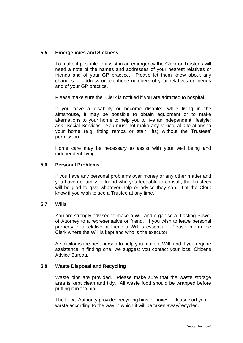# **5.5 Emergencies and Sickness**

To make it possible to assist in an emergency the Clerk or Trustees will need a note of the names and addresses of your nearest relatives or friends and of your GP practice. Please let them know about any changes of address or telephone numbers of your relatives or friends and of your GP practice.

Please make sure the Clerk is notified if you are admitted to hospital.

If you have a disability or become disabled while living in the almshouse, it may be possible to obtain equipment or to make alternations to your home to help you to live an independent lifestyle; ask Social Services. You must not make any structural alterations to your home (e.g. fitting ramps or stair lifts) without the Trustees' permission.

Home care may be necessary to assist with your well being and independent living.

#### **5.6 Personal Problems**

If you have any personal problems over money or any other matter and you have no family or friend who you feel able to consult, the Trustees will be glad to give whatever help or advice they can. Let the Clerk know if you wish to see a Trustee at any time.

## **5.7 Wills**

You are strongly advised to make a Will and organise a Lasting Power of Attorney to a representative or friend. If you wish to leave personal property to a relative or friend a Will is essential. Please inform the Clerk where the Will is kept and who is the executor.

A solicitor is the best person to help you make a Will, and if you require assistance in finding one, we suggest you contact your local Citizens Advice Bureau.

# **5.8 Waste Disposal and Recycling**

Waste bins are provided. Please make sure that the waste storage area is kept clean and tidy. All waste food should be wrapped before putting it in the bin.

The Local Authority provides recycling bins or boxes. Please sort your waste according to the way in which it will be taken away/recycled.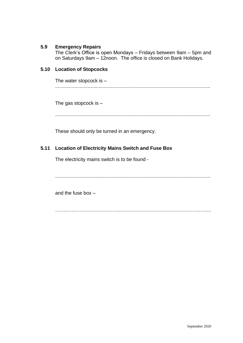# **5.9 Emergency Repairs**

The Clerk's Office is open Mondays – Fridays between 9am – 5pm and on Saturdays 9am – 12noon. The office is closed on Bank Holidays.

# **5.10 Location of Stopcocks**

The water stopcock is  $-$ ..................................................................................................................

The gas stopcock is –

..................................................................................................................

These should only be turned in an emergency.

## **5.11 Location of Electricity Mains Switch and Fuse Box**

The electricity mains switch is to be found -

..................................................................................................................

and the fuse box –

…………………………………………………………………………………...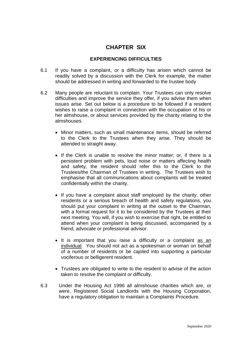# **CHAPTER SIX**

# **EXPERIENCING DIFFICULTIES**

- 6.1 If you have a complaint, or a difficulty has arisen which cannot be readily solved by a discussion with the Clerk for example, the matter should be addressed in writing and forwarded to the trustee body
- 6.2 Many people are reluctant to complain. Your Trustees can only resolve difficulties and improve the service they offer, if you advise them when issues arise. Set out below is a procedure to be followed if a resident wishes to raise a complaint in connection with the occupation of his or her almshouse, or about services provided by the charity relating to the almshouses.
	- Minor matters, such as small maintenance items, should be referred to the Clerk to the Trustees when they arise. They should be attended to straight away.
	- If the Clerk is unable to resolve the minor matter; or, if there is a persistent problem with pets, loud noise or matters affecting health and safety, the resident should refer this to the Clerk to the Trustees/the Chairman of Trustees in writing. The Trustees wish to emphasise that all communications about complaints will be treated confidentially within the charity.
	- If you have a complaint about staff employed by the charity, other residents or a serious breach of health and safety regulations, you should put your complaint in writing at the outset to the Chairman, with a formal request for it to be considered by the Trustees at their next meeting. You will, if you wish to exercise that right, be entitled to attend when your complaint is being discussed, accompanied by a friend, advocate or professional advisor.
	- It is important that you raise a difficulty or a complaint as an individual. You should not act as a spokesman or woman on behalf of a number of residents or be cajoled into supporting a particular vociferous or belligerent resident.
	- Trustees are obligated to write to the resident to advise of the action taken to resolve the complaint or difficulty.
- 6.3 Under the Housing Act 1996 all almshouse charities which are, or were, Registered Social Landlords with the Housing Corporation, have a regulatory obligation to maintain a Complaints Procedure.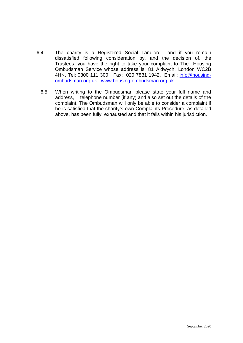- 6.4 The charity is a Registered Social Landlord and if you remain dissatisfied following consideration by, and the decision of, the Trustees, you have the right to take your complaint to The Housing Ombudsman Service whose address is: 81 Aldwych, London WC2B 4HN. Tel: 0300 111 300 Fax: 020 7831 1942. Email: [info@housing](mailto:info@housing-ombudsman.org.uk)[ombudsman.org.uk.](mailto:info@housing-ombudsman.org.uk) [www.housing-ombudsman.org.uk.](http://www.housing-ombudsman.org.uk/)
	- 6.5 When writing to the Ombudsman please state your full name and address, telephone number (if any) and also set out the details of the complaint. The Ombudsman will only be able to consider a complaint if he is satisfied that the charity's own Complaints Procedure, as detailed above, has been fully exhausted and that it falls within his jurisdiction.